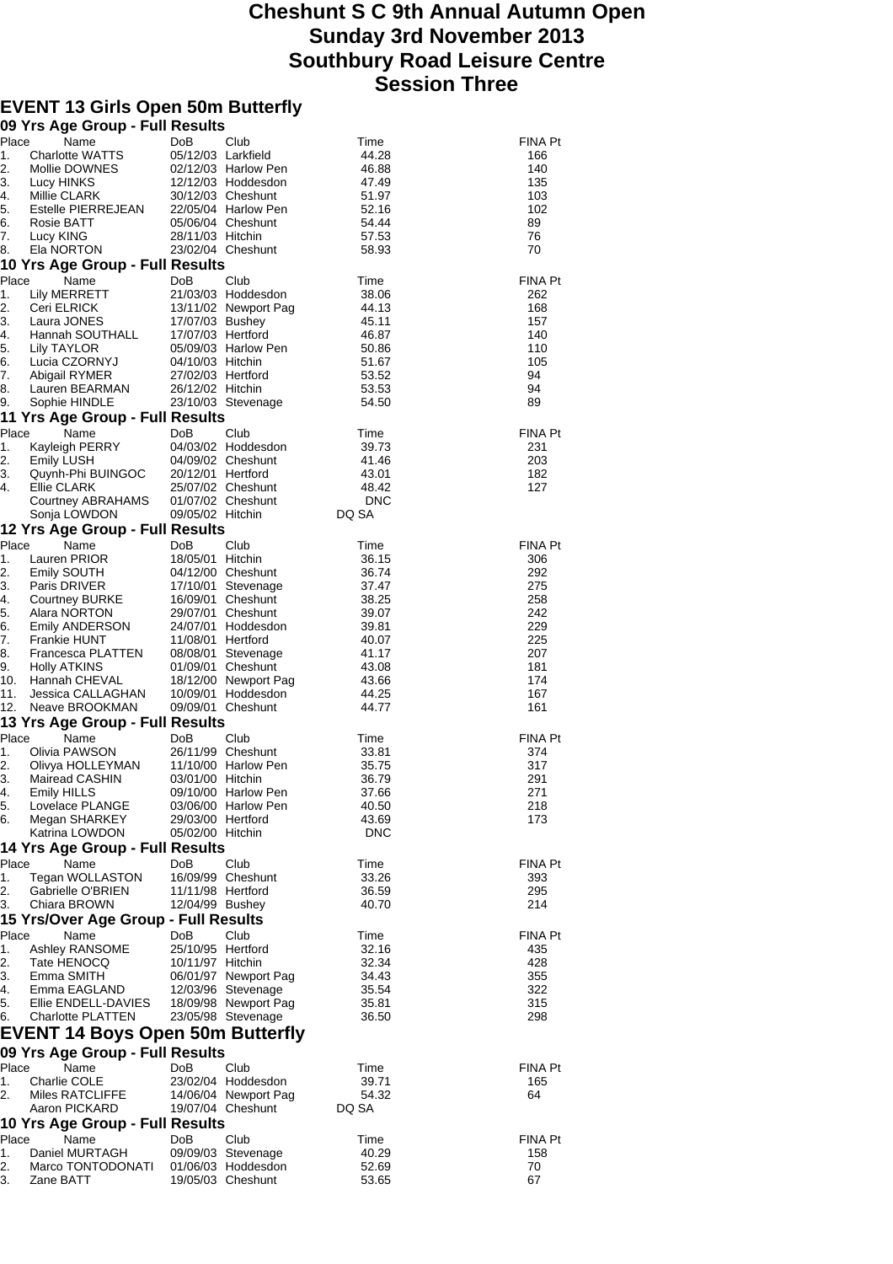## **Cheshunt S C 9th Annual Autumn Open Sunday 3rd November 2013 Southbury Road Leisure Centre Session Three**

## **EVENT 13 Girls Open 50m Butterfly**

|          | 09 Yrs Age Group - Full Results         |                                       |                      |                |                |
|----------|-----------------------------------------|---------------------------------------|----------------------|----------------|----------------|
| Place    | Name                                    | DoB                                   | Club                 | Time           | FINA Pt        |
| 1.       | Charlotte WATTS                         | 05/12/03 Larkfield                    |                      | 44.28          | 166            |
| 2.       | Mollie DOWNES                           |                                       | 02/12/03 Harlow Pen  | 46.88          | 140            |
| 3.       | Lucy HINKS                              |                                       | 12/12/03 Hoddesdon   | 47.49          | 135            |
| 4.       | Millie CLARK                            |                                       | 30/12/03 Cheshunt    | 51.97          | 103            |
| 5.       | Estelle PIERREJEAN                      |                                       | 22/05/04 Harlow Pen  | 52.16          | 102            |
| 6.       | Rosie BATT                              |                                       | 05/06/04 Cheshunt    | 54.44          | 89             |
| 7.       | Lucy KING                               | 28/11/03 Hitchin                      |                      | 57.53          | 76             |
| 8.       | Ela NORTON                              |                                       | 23/02/04 Cheshunt    | 58.93          | 70             |
|          | 10 Yrs Age Group - Full Results         |                                       |                      |                |                |
| Place    | Name                                    | DoB                                   | Club                 | Time           | <b>FINA Pt</b> |
| 1.       | Lily MERRETT                            |                                       | 21/03/03 Hoddesdon   | 38.06          | 262            |
| 2.       | Ceri ELRICK                             |                                       | 13/11/02 Newport Pag | 44.13          | 168            |
| 3.       | Laura JONES                             | 17/07/03 Bushey                       |                      | 45.11          | 157            |
| 4.       | Hannah SOUTHALL                         | 17/07/03 Hertford                     |                      | 46.87          | 140            |
| 5.       | Lily TAYLOR<br>Lucia CZORNYJ            |                                       | 05/09/03 Harlow Pen  | 50.86          | 110<br>105     |
| 6.<br>7. | Abigail RYMER                           | 04/10/03 Hitchin<br>27/02/03 Hertford |                      | 51.67<br>53.52 | 94             |
| 8.       | Lauren BEARMAN                          | 26/12/02 Hitchin                      |                      | 53.53          | 94             |
| 9.       | Sophie HINDLE                           |                                       | 23/10/03 Stevenage   | 54.50          | 89             |
|          | 11 Yrs Age Group - Full Results         |                                       |                      |                |                |
| Place    |                                         | <b>DoB</b>                            | Club                 |                |                |
| 1.       | Name                                    |                                       | 04/03/02 Hoddesdon   | Time<br>39.73  | FINA Pt<br>231 |
| 2.       | Kayleigh PERRY<br>Emily LUSH            |                                       | 04/09/02 Cheshunt    | 41.46          | 203            |
| 3.       | Quynh-Phi BUINGOC                       | 20/12/01 Hertford                     |                      | 43.01          | 182            |
| 4.       | Ellie CLARK                             |                                       | 25/07/02 Cheshunt    | 48.42          | 127            |
|          | Courtney ABRAHAMS                       |                                       | 01/07/02 Cheshunt    | <b>DNC</b>     |                |
|          | Sonja LOWDON                            | 09/05/02 Hitchin                      |                      | DQ SA          |                |
|          | 12 Yrs Age Group - Full Results         |                                       |                      |                |                |
| Place    | Name                                    | DoB                                   | Club                 | Time           | FINA Pt        |
| 1.       | Lauren PRIOR                            | 18/05/01 Hitchin                      |                      | 36.15          | 306            |
| 2.       | Emily SOUTH                             |                                       | 04/12/00 Cheshunt    | 36.74          | 292            |
| 3.       | Paris DRIVER                            |                                       | 17/10/01 Stevenage   | 37.47          | 275            |
| 4.       | Courtney BURKE                          |                                       | 16/09/01 Cheshunt    | 38.25          | 258            |
| 5.       | Alara NORTON                            |                                       | 29/07/01 Cheshunt    | 39.07          | 242            |
| 6.       | Emily ANDERSON                          |                                       | 24/07/01 Hoddesdon   | 39.81          | 229            |
| 7.       | Frankie HUNT                            | 11/08/01 Hertford                     |                      | 40.07          | 225            |
| 8.       | Francesca PLATTEN                       |                                       | 08/08/01 Stevenage   | 41.17          | 207            |
| 9.       | Holly ATKINS                            |                                       | 01/09/01 Cheshunt    | 43.08          | 181            |
| 10.      | Hannah CHEVAL                           |                                       | 18/12/00 Newport Pag | 43.66          | 174            |
| 11.      | Jessica CALLAGHAN                       |                                       | 10/09/01 Hoddesdon   | 44.25          | 167            |
| 12.      | Neave BROOKMAN                          |                                       | 09/09/01 Cheshunt    | 44.77          | 161            |
|          | 13 Yrs Age Group - Full Results         |                                       |                      |                |                |
| Place    | Name                                    | DoB                                   | Club                 | Time           | FINA Pt        |
| 1.       | Olivia PAWSON                           |                                       | 26/11/99 Cheshunt    | 33.81          | 374            |
| 2.       | Olivya HOLLEYMAN                        |                                       | 11/10/00 Harlow Pen  | 35.75          | 317            |
| 3.       | Mairead CASHIN                          | 03/01/00 Hitchin                      |                      | 36.79          | 291            |
|          | 4. Emily HILLS                          |                                       | 09/10/00 Harlow Pen  | 37.66          | 271            |
| 5.       | Lovelace PLANGE<br>Megan SHARKEY        |                                       | 03/06/00 Harlow Pen  | 40.50          | 218            |
| 6.       | Katrina LOWDON                          | 29/03/00 Hertford                     |                      | 43.69          | 173            |
|          |                                         | 05/02/00 Hitchin                      |                      | <b>DNC</b>     |                |
|          | 14 Yrs Age Group - Full Results         |                                       |                      |                |                |
|          | Place Name                              | DoB                                   | Club                 | Time           | FINA Pt        |
| 1.<br>2. | Tegan WOLLASTON                         |                                       | 16/09/99 Cheshunt    | 33.26          | 393            |
| 3.       | Gabrielle O'BRIEN<br>Chiara BROWN       | 11/11/98 Hertford<br>12/04/99 Bushey  |                      | 36.59<br>40.70 | 295<br>214     |
|          | 15 Yrs/Over Age Group - Full Results    |                                       |                      |                |                |
|          |                                         |                                       |                      |                |                |
| Place    | Name                                    | DoB                                   | Club                 | Time           | FINA Pt        |
| 1.<br>2. | Ashley RANSOME                          | 25/10/95 Hertford<br>10/11/97 Hitchin |                      | 32.16<br>32.34 | 435<br>428     |
|          | Tate HENOCQ<br>3. Emma SMITH            |                                       | 06/01/97 Newport Pag | 34.43          | 355            |
|          | 4. Emma EAGLAND                         |                                       | 12/03/96 Stevenage   | 35.54          | 322            |
| 5.       | Ellie ENDELL-DAVIES                     |                                       | 18/09/98 Newport Pag | 35.81          | 315            |
| 6.       | Charlotte PLATTEN                       |                                       | 23/05/98 Stevenage   | 36.50          | 298            |
|          |                                         |                                       |                      |                |                |
|          | <b>EVENT 14 Boys Open 50m Butterfly</b> |                                       |                      |                |                |
|          | 09 Yrs Age Group - Full Results         |                                       |                      |                |                |
| Place    | Name                                    | <b>DoB</b>                            | Club                 | Time           | FINA Pt        |
| 1.       | Charlie COLE                            |                                       | 23/02/04 Hoddesdon   | 39.71          | 165            |
| 2.       | Miles RATCLIFFE                         |                                       | 14/06/04 Newport Pag | 54.32          | 64             |
|          | Aaron PICKARD                           |                                       | 19/07/04 Cheshunt    | DQ SA          |                |
|          | 10 Yrs Age Group - Full Results         |                                       |                      |                |                |
| Place    | Name                                    | DoB                                   | Club                 | Time           | FINA Pt        |
| 1.       | Daniel MURTAGH                          |                                       | 09/09/03 Stevenage   | 40.29          | 158            |
| 2.       | Marco TONTODONATI                       |                                       | 01/06/03 Hoddesdon   | 52.69          | 70             |
| 3.       | Zane BATT                               |                                       | 19/05/03 Cheshunt    | 53.65          | 67             |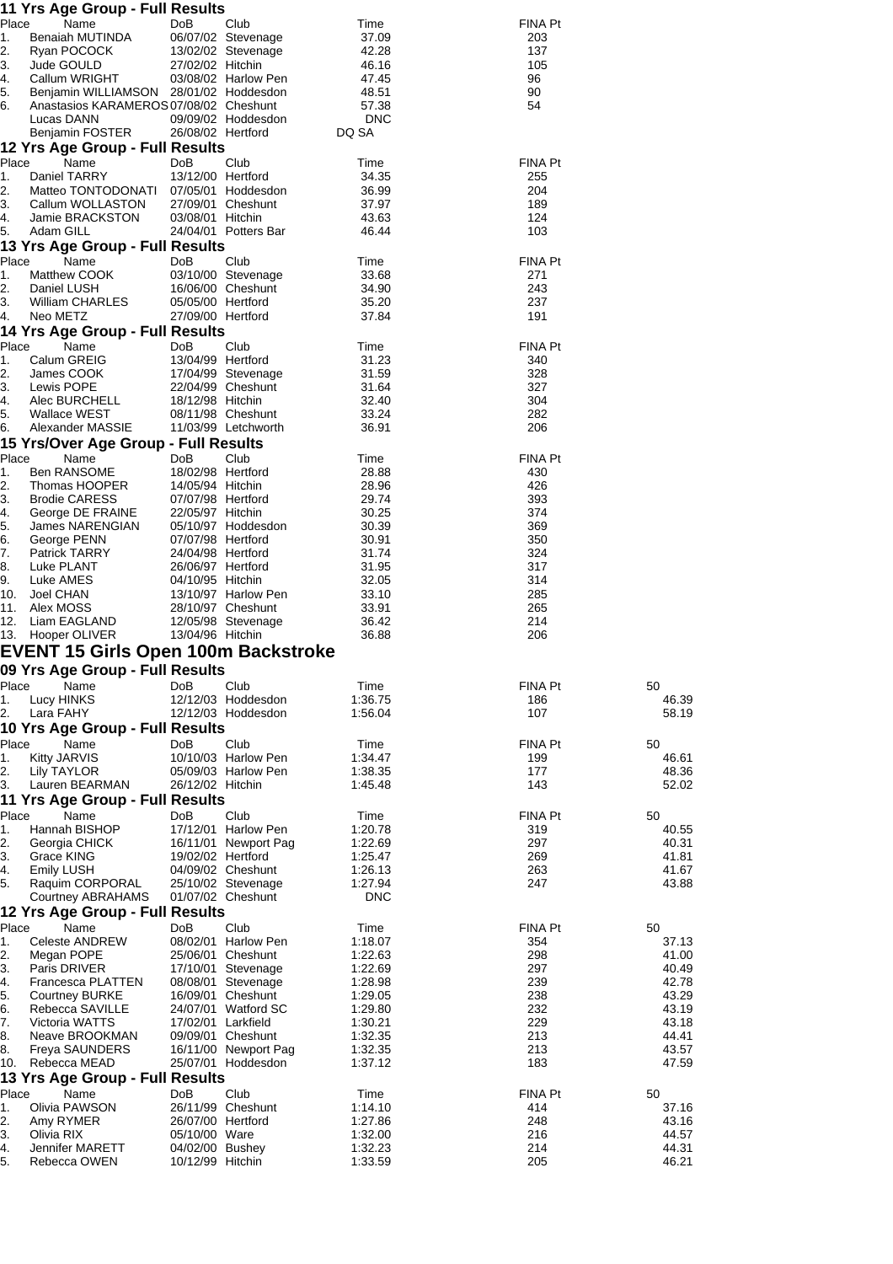|             | 11 Yrs Age Group - Full Results                           |                                       |                                             |                    |                |                |
|-------------|-----------------------------------------------------------|---------------------------------------|---------------------------------------------|--------------------|----------------|----------------|
| Place<br>1. | Name<br>Benaiah MUTINDA                                   | DoB                                   | Club<br>06/07/02 Stevenage                  | Time<br>37.09      | FINA Pt<br>203 |                |
| 2.          | Ryan POCOCK                                               |                                       | 13/02/02 Stevenage                          | 42.28              | 137            |                |
| 3.          | Jude GOULD                                                | 27/02/02 Hitchin                      |                                             | 46.16              | 105            |                |
| 4.          | Callum WRIGHT                                             |                                       | 03/08/02 Harlow Pen                         | 47.45              | 96             |                |
| 5.<br>6.    | Benjamin WILLIAMSON 28/01/02 Hoddesdon                    |                                       |                                             | 48.51<br>57.38     | 90<br>54       |                |
|             | Anastasios KARAMEROS 07/08/02 Cheshunt<br>Lucas DANN      |                                       | 09/09/02 Hoddesdon                          | <b>DNC</b>         |                |                |
|             | Benjamin FOSTER                                           | 26/08/02 Hertford                     |                                             | DQ SA              |                |                |
|             | 12 Yrs Age Group - Full Results                           |                                       |                                             |                    |                |                |
| Place       | Name                                                      | DoB                                   | Club                                        | Time               | FINA Pt        |                |
| 1.          | Daniel TARRY                                              | 13/12/00 Hertford                     |                                             | 34.35              | 255            |                |
| 2.<br>3.    | Matteo TONTODONATI 07/05/01 Hoddesdon<br>Callum WOLLASTON |                                       | 27/09/01 Cheshunt                           | 36.99<br>37.97     | 204<br>189     |                |
| 4.          | Jamie BRACKSTON                                           | 03/08/01 Hitchin                      |                                             | 43.63              | 124            |                |
| 5.          | Adam GILL                                                 |                                       | 24/04/01 Potters Bar                        | 46.44              | 103            |                |
|             | 13 Yrs Age Group - Full Results                           |                                       |                                             |                    |                |                |
| Place<br>1. | Name<br>Matthew COOK                                      | DoB                                   | Club<br>03/10/00 Stevenage                  | Time<br>33.68      | FINA Pt<br>271 |                |
| 2.          | Daniel LUSH                                               |                                       | 16/06/00 Cheshunt                           | 34.90              | 243            |                |
| 3.          | <b>William CHARLES</b>                                    | 05/05/00 Hertford                     |                                             | 35.20              | 237            |                |
| 4.          | Neo METZ                                                  | 27/09/00 Hertford                     |                                             | 37.84              | 191            |                |
|             | 14 Yrs Age Group - Full Results                           |                                       |                                             |                    |                |                |
| Place<br>1. | Name<br>Calum GREIG                                       | DoB<br>13/04/99 Hertford              | Club                                        | Time<br>31.23      | FINA Pt<br>340 |                |
| 2.          | James COOK                                                |                                       | 17/04/99 Stevenage                          | 31.59              | 328            |                |
| 3.          | Lewis POPE                                                |                                       | 22/04/99 Cheshunt                           | 31.64              | 327            |                |
| 4.          | Alec BURCHELL                                             | 18/12/98 Hitchin                      |                                             | 32.40              | 304            |                |
| 5.<br>6.    | Wallace WEST<br>Alexander MASSIE                          |                                       | 08/11/98 Cheshunt<br>11/03/99 Letchworth    | 33.24<br>36.91     | 282<br>206     |                |
|             | 15 Yrs/Over Age Group - Full Results                      |                                       |                                             |                    |                |                |
| Place       | Name                                                      | DoB                                   | Club                                        | Time               | FINA Pt        |                |
| 1.          | <b>Ben RANSOME</b>                                        | 18/02/98 Hertford                     |                                             | 28.88              | 430            |                |
| 2.          | Thomas HOOPER                                             | 14/05/94 Hitchin                      |                                             | 28.96              | 426            |                |
| 3.<br>4.    | <b>Brodie CARESS</b><br>George DE FRAINE                  | 07/07/98 Hertford<br>22/05/97 Hitchin |                                             | 29.74<br>30.25     | 393<br>374     |                |
| 5.          | James NARENGIAN                                           |                                       | 05/10/97 Hoddesdon                          | 30.39              | 369            |                |
| 6.          | George PENN                                               | 07/07/98 Hertford                     |                                             | 30.91              | 350            |                |
| 7.          | Patrick TARRY                                             | 24/04/98 Hertford                     |                                             | 31.74              | 324            |                |
| 8.<br>9.    | Luke PLANT<br>Luke AMES                                   | 26/06/97 Hertford<br>04/10/95 Hitchin |                                             | 31.95<br>32.05     | 317<br>314     |                |
| 10.         | Joel CHAN                                                 |                                       | 13/10/97 Harlow Pen                         | 33.10              | 285            |                |
| 11.         | Alex MOSS                                                 |                                       | 28/10/97 Cheshunt                           | 33.91              | 265            |                |
| 12.         | Liam EAGLAND                                              |                                       | 12/05/98 Stevenage                          | 36.42              | 214            |                |
|             | 13. Hooper OLIVER                                         | 13/04/96 Hitchin                      |                                             | 36.88              | 206            |                |
|             | <b>EVENT 15 Girls Open 100m Backstroke</b>                |                                       |                                             |                    |                |                |
| Place       | 09 Yrs Age Group - Full Results<br>Name                   | DoB                                   | Club                                        | Time               | FINA Pt        | 50             |
| 1.          | Lucy HINKS                                                |                                       | 12/12/03 Hoddesdon                          | 1:36.75            | 186            | 46.39          |
| 2.          | Lara FAHY                                                 |                                       | 12/12/03 Hoddesdon                          | 1:56.04            | 107            | 58.19          |
|             | 10 Yrs Age Group - Full Results                           |                                       |                                             |                    |                |                |
| Place       | Name                                                      | DoB                                   | Club                                        | Time               | FINA Pt        | 50             |
| 1.<br>2.    | Kitty JARVIS<br>Lily TAYLOR                               |                                       | 10/10/03 Harlow Pen<br>05/09/03 Harlow Pen  | 1:34.47<br>1:38.35 | 199<br>177     | 46.61<br>48.36 |
| 3.          | Lauren BEARMAN                                            | 26/12/02 Hitchin                      |                                             | 1:45.48            | 143            | 52.02          |
|             | 11 Yrs Age Group - Full Results                           |                                       |                                             |                    |                |                |
| Place       | Name                                                      | DoB                                   | Club                                        | Time               | FINA Pt        | 50             |
| 1.<br>2.    | Hannah BISHOP                                             |                                       | 17/12/01 Harlow Pen<br>16/11/01 Newport Pag | 1:20.78<br>1:22.69 | 319<br>297     | 40.55<br>40.31 |
| 3.          | Georgia CHICK<br>Grace KING                               | 19/02/02 Hertford                     |                                             | 1:25.47            | 269            | 41.81          |
| 4.          | <b>Emily LUSH</b>                                         |                                       | 04/09/02 Cheshunt                           | 1:26.13            | 263            | 41.67          |
| 5.          | Raquim CORPORAL                                           |                                       | 25/10/02 Stevenage                          | 1:27.94            | 247            | 43.88          |
|             | Courtney ABRAHAMS                                         |                                       | 01/07/02 Cheshunt                           | <b>DNC</b>         |                |                |
| Place       | 12 Yrs Age Group - Full Results<br>Name                   | DoB                                   | Club                                        | Time               | FINA Pt        | 50             |
| 1.          | <b>Celeste ANDREW</b>                                     |                                       | 08/02/01 Harlow Pen                         | 1:18.07            | 354            | 37.13          |
| 2.          | Megan POPE                                                |                                       | 25/06/01 Cheshunt                           | 1:22.63            | 298            | 41.00          |
| 3.          | Paris DRIVER                                              |                                       | 17/10/01 Stevenage                          | 1:22.69            | 297            | 40.49          |
| 4.<br>5.    | Francesca PLATTEN<br><b>Courtney BURKE</b>                |                                       | 08/08/01 Stevenage<br>16/09/01 Cheshunt     | 1:28.98<br>1:29.05 | 239<br>238     | 42.78<br>43.29 |
| 6.          | Rebecca SAVILLE                                           |                                       | 24/07/01 Watford SC                         | 1:29.80            | 232            | 43.19          |
| 7.          | Victoria WATTS                                            | 17/02/01 Larkfield                    |                                             | 1:30.21            | 229            | 43.18          |
| 8.          | Neave BROOKMAN                                            |                                       | 09/09/01 Cheshunt                           | 1:32.35            | 213            | 44.41          |
| 8.<br>10.   | <b>Freya SAUNDERS</b><br>Rebecca MEAD                     |                                       | 16/11/00 Newport Pag<br>25/07/01 Hoddesdon  | 1:32.35<br>1:37.12 | 213<br>183     | 43.57<br>47.59 |
|             | 13 Yrs Age Group - Full Results                           |                                       |                                             |                    |                |                |
| Place       | Name                                                      | DoB                                   | Club                                        | Time               | FINA Pt        | 50             |
| 1.          | Olivia PAWSON                                             |                                       | 26/11/99 Cheshunt                           | 1:14.10            | 414            | 37.16          |
| 2.<br>3.    | Amy RYMER<br>Olivia RIX                                   | 26/07/00 Hertford<br>05/10/00 Ware    |                                             | 1:27.86<br>1:32.00 | 248<br>216     | 43.16<br>44.57 |
| 4.          | Jennifer MARETT                                           | 04/02/00 Bushey                       |                                             | 1:32.23            | 214            | 44.31          |
|             | Rebecca OWEN                                              | 10/12/99 Hitchin                      |                                             | 1:33.59            | 205            | 46.21          |
| 5.          |                                                           |                                       |                                             |                    |                |                |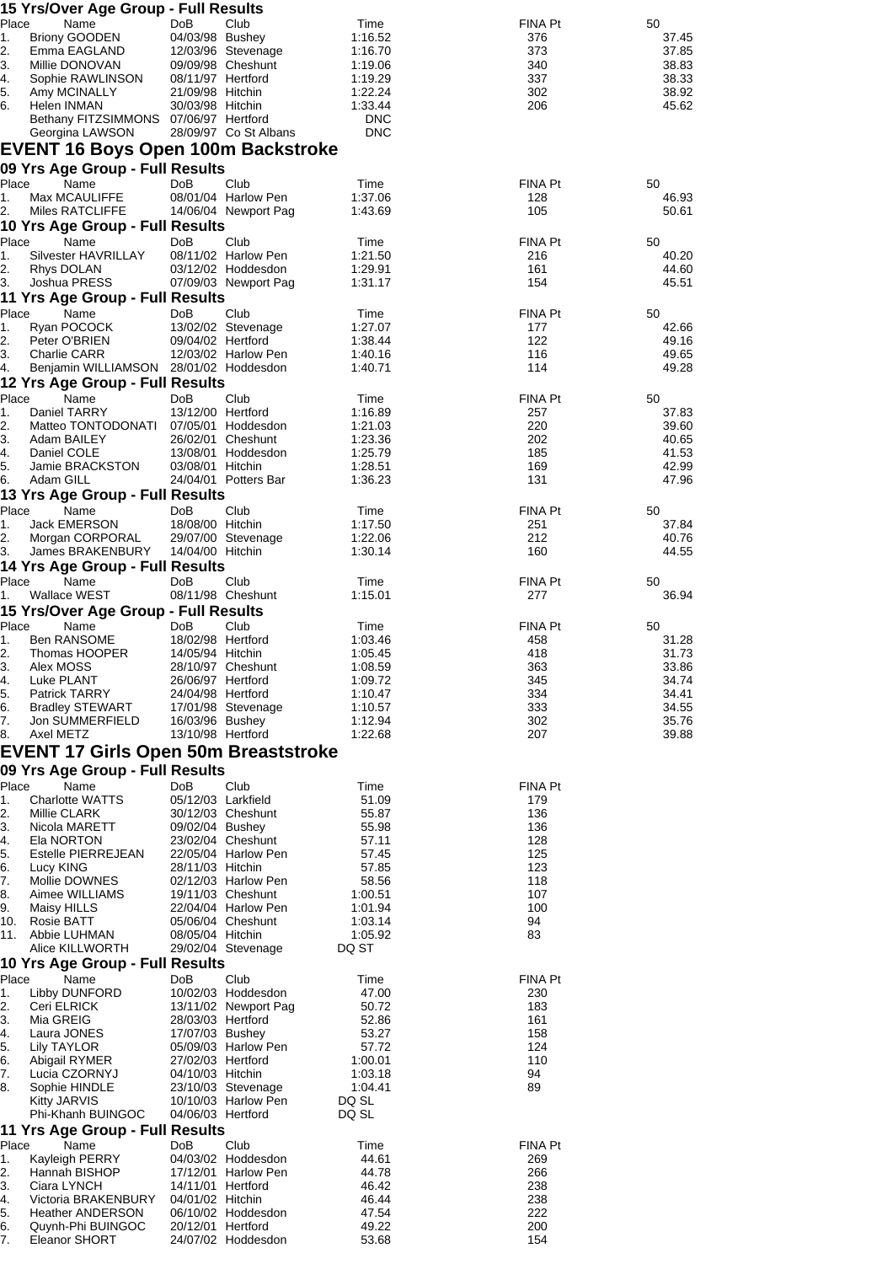|             | 15 Yrs/Over Age Group - Full Results                 |                                       |                                          |                       |                |                |
|-------------|------------------------------------------------------|---------------------------------------|------------------------------------------|-----------------------|----------------|----------------|
| Place<br>1. | Name<br><b>Briony GOODEN</b>                         | DoB<br>04/03/98 Bushey                | Club                                     | Time<br>1:16.52       | FINA Pt<br>376 | 50<br>37.45    |
| 2.          | Emma EAGLAND                                         |                                       | 12/03/96 Stevenage                       | 1:16.70               | 373            | 37.85          |
| 3.          | Millie DONOVAN                                       |                                       | 09/09/98 Cheshunt                        | 1:19.06               | 340            | 38.83          |
| 4.          | Sophie RAWLINSON                                     | 08/11/97 Hertford                     |                                          | 1:19.29               | 337            | 38.33          |
| 5.          | Amy MCINALLY                                         | 21/09/98 Hitchin                      |                                          | 1:22.24               | 302            | 38.92          |
| 6.          | Helen INMAN<br>Bethany FITZSIMMONS 07/06/97 Hertford | 30/03/98 Hitchin                      |                                          | 1:33.44<br><b>DNC</b> | 206            | 45.62          |
|             | Georgina LAWSON                                      |                                       | 28/09/97 Co St Albans                    | <b>DNC</b>            |                |                |
|             | <b>EVENT 16 Boys Open 100m Backstroke</b>            |                                       |                                          |                       |                |                |
|             | 09 Yrs Age Group - Full Results                      |                                       |                                          |                       |                |                |
| Place       | Name                                                 | <b>DoB</b>                            | Club                                     | Time                  | FINA Pt        | 50             |
| 1.          | Max MCAULIFFE                                        |                                       | 08/01/04 Harlow Pen                      | 1:37.06               | 128            | 46.93          |
| 2.          | Miles RATCLIFFE                                      |                                       | 14/06/04 Newport Pag                     | 1:43.69               | 105            | 50.61          |
| Place       | 10 Yrs Age Group - Full Results<br>Name              | Do <sub>B</sub>                       | Club                                     |                       | FINA Pt        | 50             |
| 1.          | Silvester HAVRILLAY                                  |                                       | 08/11/02 Harlow Pen                      | Time<br>1:21.50       | 216            | 40.20          |
| 2.          | Rhys DOLAN                                           |                                       | 03/12/02 Hoddesdon                       | 1:29.91               | 161            | 44.60          |
| 3.          | Joshua PRESS                                         |                                       | 07/09/03 Newport Pag                     | 1:31.17               | 154            | 45.51          |
|             | 11 Yrs Age Group - Full Results                      |                                       |                                          |                       |                |                |
| Place       | Name                                                 | DoB                                   | Club                                     | Time                  | FINA Pt        | 50             |
| 1.<br>2.    | Ryan POCOCK<br>Peter O'BRIEN                         | 09/04/02 Hertford                     | 13/02/02 Stevenage                       | 1:27.07<br>1:38.44    | 177<br>122     | 42.66<br>49.16 |
| 3.          | Charlie CARR                                         |                                       | 12/03/02 Harlow Pen                      | 1:40.16               | 116            | 49.65          |
| 4.          | Benjamin WILLIAMSON 28/01/02 Hoddesdon               |                                       |                                          | 1:40.71               | 114            | 49.28          |
|             | 12 Yrs Age Group - Full Results                      |                                       |                                          |                       |                |                |
| Place       | Name                                                 | DoB                                   | Club                                     | Time                  | FINA Pt        | 50             |
| 1.          | Daniel TARRY                                         | 13/12/00 Hertford                     |                                          | 1:16.89               | 257            | 37.83          |
| 2.<br>3.    | Matteo TONTODONATI<br>Adam BAILEY                    |                                       | 07/05/01 Hoddesdon<br>26/02/01 Cheshunt  | 1:21.03<br>1:23.36    | 220<br>202     | 39.60<br>40.65 |
| 4.          | Daniel COLE                                          |                                       | 13/08/01 Hoddesdon                       | 1:25.79               | 185            | 41.53          |
| 5.          | Jamie BRACKSTON                                      | 03/08/01 Hitchin                      |                                          | 1:28.51               | 169            | 42.99          |
| 6.          | Adam GILL                                            |                                       | 24/04/01 Potters Bar                     | 1:36.23               | 131            | 47.96          |
|             | 13 Yrs Age Group - Full Results                      |                                       |                                          |                       |                |                |
| Place       | Name                                                 | DoB                                   | Club                                     | Time                  | FINA Pt        | 50             |
| 1.<br>2.    | <b>Jack EMERSON</b><br>Morgan CORPORAL               | 18/08/00 Hitchin                      | 29/07/00 Stevenage                       | 1:17.50<br>1:22.06    | 251<br>212     | 37.84<br>40.76 |
| 3.          | James BRAKENBURY                                     | 14/04/00 Hitchin                      |                                          | 1:30.14               | 160            | 44.55          |
|             | 14 Yrs Age Group - Full Results                      |                                       |                                          |                       |                |                |
| Place       | Name                                                 | DoB                                   | Club                                     | Time                  | FINA Pt        | 50             |
| 1.          | Wallace WEST                                         |                                       | 08/11/98 Cheshunt                        | 1:15.01               | 277            | 36.94          |
|             | 15 Yrs/Over Age Group - Full Results                 |                                       |                                          |                       |                |                |
| Place       | Name                                                 | DoB                                   | Club                                     | Time                  | FINA Pt        | 50             |
| 1.<br>2.    | <b>Ben RANSOME</b><br>Thomas HOOPER                  | 18/02/98 Hertford<br>14/05/94 Hitchin |                                          | 1:03.46<br>1:05.45    | 458<br>418     | 31.28<br>31.73 |
| 3.          | Alex MOSS                                            |                                       | 28/10/97 Cheshunt                        | 1:08.59               | 363            | 33.86          |
| 4.          | Luke PLANT                                           | 26/06/97 Hertford                     |                                          | 1:09.72               | 345            | 34.74          |
| 5.          | Patrick TARRY                                        | 24/04/98 Hertford                     |                                          | 1:10.47               | 334            | 34.41          |
| 6.<br>7.    | <b>Bradley STEWART</b><br>Jon SUMMERFIELD            | 16/03/96 Bushey                       | 17/01/98 Stevenage                       | 1:10.57<br>1:12.94    | 333<br>302     | 34.55<br>35.76 |
| 8.          | Axel METZ                                            | 13/10/98 Hertford                     |                                          | 1:22.68               | 207            | 39.88          |
|             | <b>EVENT 17 Girls Open 50m Breaststroke</b>          |                                       |                                          |                       |                |                |
|             | 09 Yrs Age Group - Full Results                      |                                       |                                          |                       |                |                |
| Place       | Name                                                 | DoB                                   | Club                                     | Time                  | <b>FINA Pt</b> |                |
| 1.          | <b>Charlotte WATTS</b>                               | 05/12/03 Larkfield                    |                                          | 51.09                 | 179            |                |
| 2.          | Millie CLARK                                         |                                       | 30/12/03 Cheshunt                        | 55.87                 | 136            |                |
| 3.          | Nicola MARETT                                        | 09/02/04 Bushey                       |                                          | 55.98                 | 136            |                |
| 4.<br>5.    | Ela NORTON<br>Estelle PIERREJEAN                     |                                       | 23/02/04 Cheshunt<br>22/05/04 Harlow Pen | 57.11<br>57.45        | 128<br>125     |                |
| 6.          | Lucy KING                                            | 28/11/03 Hitchin                      |                                          | 57.85                 | 123            |                |
| 7.          | Mollie DOWNES                                        |                                       | 02/12/03 Harlow Pen                      | 58.56                 | 118            |                |
| 8.          | Aimee WILLIAMS                                       |                                       | 19/11/03 Cheshunt                        | 1:00.51               | 107            |                |
| 9.<br>10.   | Maisy HILLS<br>Rosie BATT                            |                                       | 22/04/04 Harlow Pen<br>05/06/04 Cheshunt | 1:01.94<br>1:03.14    | 100<br>94      |                |
|             | 11.    Abbie LUHMAN                                  | 08/05/04 Hitchin                      |                                          | 1:05.92               | 83             |                |
|             | Alice KILLWORTH                                      |                                       | 29/02/04 Stevenage                       | DQ ST                 |                |                |
|             | 10 Yrs Age Group - Full Results                      |                                       |                                          |                       |                |                |
| Place       | Name                                                 | DoB                                   | Club                                     | Time                  | FINA Pt        |                |
| 1.          | Libby DUNFORD                                        |                                       | 10/02/03 Hoddesdon                       | 47.00                 | 230            |                |
| 2.<br>3.    | Ceri ELRICK<br>Mia GREIG                             | 28/03/03 Hertford                     | 13/11/02 Newport Pag                     | 50.72<br>52.86        | 183<br>161     |                |
| 4.          | Laura JONES                                          | 17/07/03 Bushey                       |                                          | 53.27                 | 158            |                |
| 5.          | Lily TAYLOR                                          |                                       | 05/09/03 Harlow Pen                      | 57.72                 | 124            |                |
| 6.          | Abigail RYMER                                        | 27/02/03 Hertford                     |                                          | 1:00.01               | 110            |                |
| 7.<br>8.    | Lucia CZORNYJ                                        | 04/10/03 Hitchin                      | 23/10/03 Stevenage                       | 1:03.18               | 94<br>89       |                |
|             | Sophie HINDLE<br><b>Kitty JARVIS</b>                 |                                       | 10/10/03 Harlow Pen                      | 1:04.41<br>DQ SL      |                |                |
|             | Phi-Khanh BUINGOC                                    | 04/06/03 Hertford                     |                                          | DQ SL                 |                |                |
|             | 11 Yrs Age Group - Full Results                      |                                       |                                          |                       |                |                |
| Place       | Name                                                 | DoB                                   | Club                                     | Time                  | <b>FINA Pt</b> |                |
| 1.          | Kayleigh PERRY                                       |                                       | 04/03/02 Hoddesdon                       | 44.61                 | 269            |                |
| 2.<br>3.    | Hannah BISHOP<br>Ciara LYNCH                         | 14/11/01 Hertford                     | 17/12/01 Harlow Pen                      | 44.78<br>46.42        | 266<br>238     |                |
| 4.          | Victoria BRAKENBURY                                  | 04/01/02 Hitchin                      |                                          | 46.44                 | 238            |                |
| 5.          | Heather ANDERSON                                     |                                       | 06/10/02 Hoddesdon                       | 47.54                 | 222            |                |
| 6.          | Quynh-Phi BUINGOC                                    | 20/12/01 Hertford                     |                                          | 49.22                 | 200            |                |
| 7.          | Eleanor SHORT                                        |                                       | 24/07/02 Hoddesdon                       | 53.68                 | 154            |                |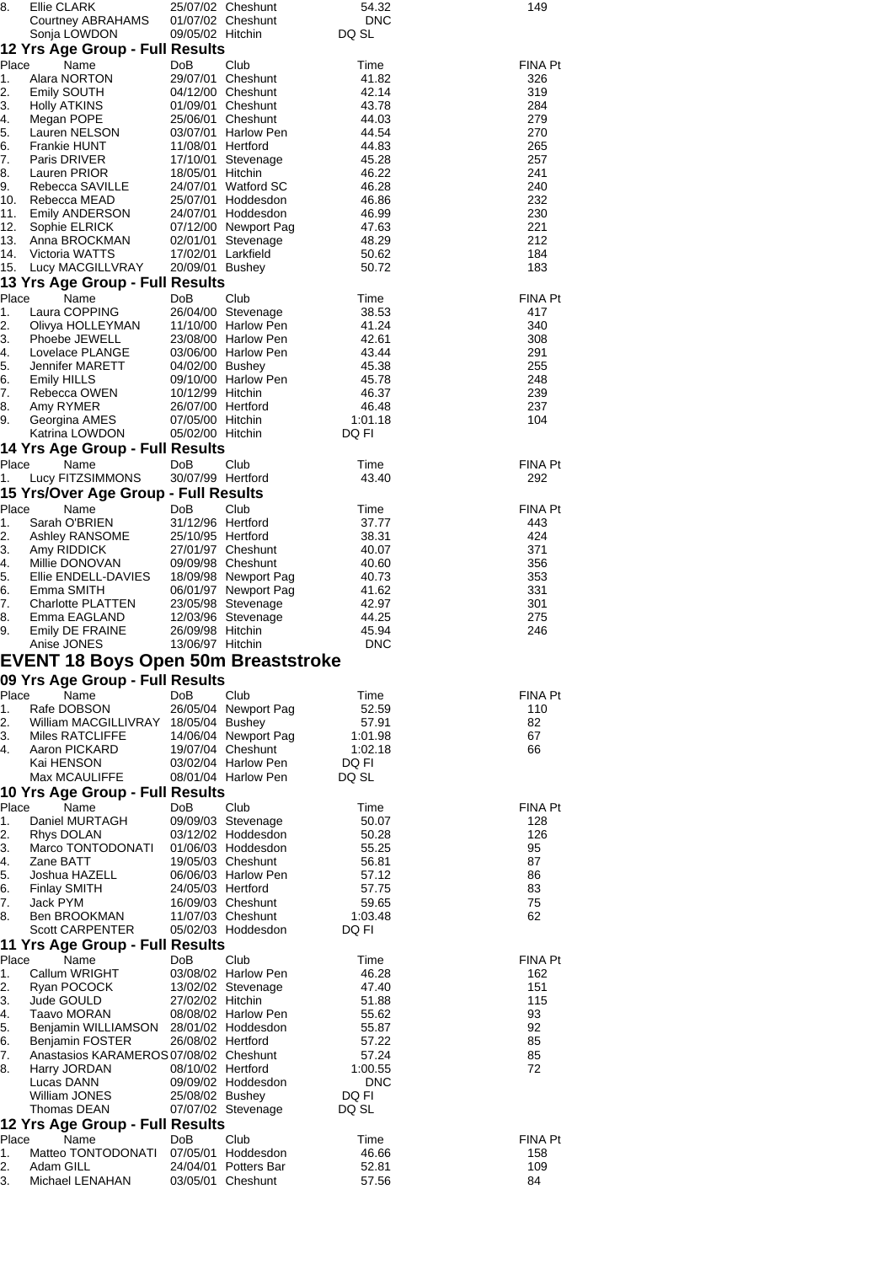| 8.                                              | <b>Ellie CLARK</b>                         |                                       | 25/07/02 Cheshunt                        | 54.32                 | 149            |  |  |
|-------------------------------------------------|--------------------------------------------|---------------------------------------|------------------------------------------|-----------------------|----------------|--|--|
|                                                 | Courtney ABRAHAMS                          |                                       | 01/07/02 Cheshunt                        | <b>DNC</b>            |                |  |  |
|                                                 | Sonja LOWDON                               | 09/05/02 Hitchin                      |                                          | DQ SL                 |                |  |  |
|                                                 | 12 Yrs Age Group - Full Results            |                                       |                                          |                       |                |  |  |
| Place                                           | Name                                       | <b>DoB</b>                            | Club                                     | Time                  | <b>FINA Pt</b> |  |  |
| 1.                                              | Alara NORTON                               |                                       | 29/07/01 Cheshunt                        | 41.82                 | 326            |  |  |
| 2.                                              | Emily SOUTH                                |                                       | 04/12/00 Cheshunt                        | 42.14                 | 319            |  |  |
| 3.                                              | <b>Holly ATKINS</b>                        |                                       | 01/09/01 Cheshunt                        | 43.78                 | 284            |  |  |
| 4.<br>5.                                        | Megan POPE<br>Lauren NELSON                |                                       | 25/06/01 Cheshunt<br>03/07/01 Harlow Pen | 44.03<br>44.54        | 279<br>270     |  |  |
| 6.                                              | Frankie HUNT                               | 11/08/01 Hertford                     |                                          | 44.83                 | 265            |  |  |
| 7.                                              | Paris DRIVER                               |                                       | 17/10/01 Stevenage                       | 45.28                 | 257            |  |  |
| 8.                                              | Lauren PRIOR                               | 18/05/01 Hitchin                      |                                          | 46.22                 | 241            |  |  |
| 9.                                              | Rebecca SAVILLE                            |                                       | 24/07/01 Watford SC                      | 46.28                 | 240            |  |  |
| 10.                                             | Rebecca MEAD                               |                                       | 25/07/01 Hoddesdon                       | 46.86                 | 232            |  |  |
| 11.                                             | <b>Emily ANDERSON</b>                      |                                       | 24/07/01 Hoddesdon                       | 46.99                 | 230            |  |  |
| 12.                                             | Sophie ELRICK                              |                                       | 07/12/00 Newport Pag                     | 47.63                 | 221            |  |  |
| 13.<br>14.                                      | Anna BROCKMAN                              |                                       | 02/01/01 Stevenage                       | 48.29                 | 212            |  |  |
| 15.                                             | Victoria WATTS<br>Lucy MACGILLVRAY         | 17/02/01 Larkfield<br>20/09/01 Bushey |                                          | 50.62<br>50.72        | 184<br>183     |  |  |
|                                                 | 13 Yrs Age Group - Full Results            |                                       |                                          |                       |                |  |  |
| Place                                           | Name                                       | DoB                                   | Club                                     | Time                  | FINA Pt        |  |  |
| 1.                                              | Laura COPPING                              |                                       | 26/04/00 Stevenage                       | 38.53                 | 417            |  |  |
| 2.                                              | Olivya HOLLEYMAN                           |                                       | 11/10/00 Harlow Pen                      | 41.24                 | 340            |  |  |
| 3.                                              | Phoebe JEWELL                              |                                       | 23/08/00 Harlow Pen                      | 42.61                 | 308            |  |  |
| 4.                                              | Lovelace PLANGE                            |                                       | 03/06/00 Harlow Pen                      | 43.44                 | 291            |  |  |
| 5.                                              | Jennifer MARETT                            | 04/02/00 Bushey                       |                                          | 45.38                 | 255            |  |  |
| 6.                                              | Emily HILLS                                |                                       | 09/10/00 Harlow Pen                      | 45.78                 | 248            |  |  |
| 7.                                              | Rebecca OWEN                               | 10/12/99 Hitchin                      |                                          | 46.37                 | 239            |  |  |
| 8.                                              | Amy RYMER                                  | 26/07/00 Hertford                     |                                          | 46.48                 | 237            |  |  |
| 9.                                              | Georgina AMES                              | 07/05/00 Hitchin                      |                                          | 1:01.18               | 104            |  |  |
|                                                 | Katrina LOWDON                             | 05/02/00 Hitchin                      |                                          | DQ FI                 |                |  |  |
|                                                 | 14 Yrs Age Group - Full Results            |                                       |                                          |                       |                |  |  |
| Place                                           | Name                                       | DoB                                   | Club                                     | Time                  | <b>FINA Pt</b> |  |  |
| 1.                                              | Lucy FITZSIMMONS                           | 30/07/99 Hertford                     |                                          | 43.40                 | 292            |  |  |
|                                                 | 15 Yrs/Over Age Group - Full Results       |                                       |                                          |                       |                |  |  |
| Place                                           | Name                                       | <b>DoB</b>                            | Club                                     | Time                  | <b>FINA Pt</b> |  |  |
| 1.<br>2.                                        | Sarah O'BRIEN                              | 31/12/96 Hertford                     |                                          | 37.77                 | 443            |  |  |
| 3.                                              | Ashley RANSOME<br>Amy RIDDICK              | 25/10/95 Hertford                     | 27/01/97 Cheshunt                        | 38.31<br>40.07        | 424<br>371     |  |  |
| 4.                                              | Millie DONOVAN                             |                                       | 09/09/98 Cheshunt                        | 40.60                 | 356            |  |  |
| 5.                                              | Ellie ENDELL-DAVIES                        |                                       | 18/09/98 Newport Pag                     | 40.73                 | 353            |  |  |
| 6.                                              | Emma SMITH                                 |                                       | 06/01/97 Newport Pag                     | 41.62                 | 331            |  |  |
| 7.                                              | <b>Charlotte PLATTEN</b>                   |                                       | 23/05/98 Stevenage                       | 42.97                 | 301            |  |  |
| 8.                                              | Emma EAGLAND                               |                                       | 12/03/96 Stevenage                       | 44.25                 | 275            |  |  |
| 9.                                              | Emily DE FRAINE                            | 26/09/98 Hitchin                      |                                          | 45.94                 | 246            |  |  |
|                                                 | Anise JONES                                | 13/06/97 Hitchin                      |                                          | <b>DNC</b>            |                |  |  |
|                                                 | <b>EVENT 18 Boys Open 50m Breaststroke</b> |                                       |                                          |                       |                |  |  |
|                                                 | 09 Yrs Age Group - Full Results            |                                       |                                          |                       |                |  |  |
| Place                                           | Name                                       | DoB                                   | Club                                     | Time                  | FINA Pt        |  |  |
| 1.                                              | Rafe DOBSON                                |                                       | 26/05/04 Newport Pag                     | 52.59                 | 110            |  |  |
| 2.                                              | William MACGILLIVRAY 18/05/04 Bushey       |                                       |                                          | 57.91                 | 82             |  |  |
| 3.                                              | Miles RATCLIFFE                            |                                       | 14/06/04 Newport Pag                     | 1:01.98               | 67             |  |  |
| 4.                                              | Aaron PICKARD                              |                                       | 19/07/04 Cheshunt                        | 1:02.18               | 66             |  |  |
|                                                 | Kai HENSON                                 |                                       | 03/02/04 Harlow Pen                      | DQ FI                 |                |  |  |
|                                                 | Max MCAULIFFE                              |                                       | 08/01/04 Harlow Pen                      | DQ SL                 |                |  |  |
|                                                 | 10 Yrs Age Group - Full Results            |                                       |                                          |                       |                |  |  |
| Place                                           | Name                                       | DoB                                   | Club                                     | Time                  | <b>FINA Pt</b> |  |  |
| 1.                                              | Daniel MURTAGH                             |                                       | 09/09/03 Stevenage                       | 50.07                 | 128            |  |  |
| 2.                                              | Rhys DOLAN                                 |                                       | 03/12/02 Hoddesdon                       | 50.28                 | 126            |  |  |
| 3.<br>4.                                        | Marco TONTODONATI<br>Zane BATT             |                                       | 01/06/03 Hoddesdon<br>19/05/03 Cheshunt  | 55.25                 | 95<br>87       |  |  |
| 5.                                              | Joshua HAZELL                              |                                       | 06/06/03 Harlow Pen                      | 56.81<br>57.12        | 86             |  |  |
| 6.                                              | <b>Finlay SMITH</b>                        | 24/05/03 Hertford                     |                                          | 57.75                 | 83             |  |  |
| 7.                                              | Jack PYM                                   |                                       | 16/09/03 Cheshunt                        | 59.65                 | 75             |  |  |
| 8.                                              | Ben BROOKMAN                               |                                       | 11/07/03 Cheshunt                        | 1:03.48               | 62             |  |  |
|                                                 | Scott CARPENTER                            |                                       | 05/02/03 Hoddesdon                       | DQ FI                 |                |  |  |
|                                                 | 11 Yrs Age Group - Full Results            |                                       |                                          |                       |                |  |  |
| Place                                           | Name                                       | DoB                                   | Club                                     | Time                  | FINA Pt        |  |  |
| 1.                                              | Callum WRIGHT                              |                                       | 03/08/02 Harlow Pen                      | 46.28                 | 162            |  |  |
| 2.                                              | Ryan POCOCK                                |                                       | 13/02/02 Stevenage                       | 47.40                 | 151            |  |  |
| 3.                                              | Jude GOULD                                 | 27/02/02 Hitchin                      |                                          | 51.88                 | 115            |  |  |
| 4.                                              | Taavo MORAN                                |                                       | 08/08/02 Harlow Pen                      | 55.62                 | 93             |  |  |
| 5.                                              | Benjamin WILLIAMSON 28/01/02 Hoddesdon     |                                       |                                          | 55.87                 | 92             |  |  |
| 6.                                              | Benjamin FOSTER                            | 26/08/02 Hertford                     |                                          | 57.22                 | 85             |  |  |
| 7.<br>8.                                        | Anastasios KARAMEROS 07/08/02 Cheshunt     | 08/10/02 Hertford                     |                                          | 57.24                 | 85<br>72       |  |  |
|                                                 | Harry JORDAN<br>Lucas DANN                 |                                       | 09/09/02 Hoddesdon                       | 1:00.55<br><b>DNC</b> |                |  |  |
|                                                 | William JONES                              | 25/08/02 Bushey                       |                                          | DQ FI                 |                |  |  |
|                                                 | Thomas DEAN                                |                                       | 07/07/02 Stevenage                       | DQ SL                 |                |  |  |
|                                                 | 12 Yrs Age Group - Full Results            |                                       |                                          |                       |                |  |  |
| Place<br>Name<br>DoB<br>Club<br>FINA Pt<br>Time |                                            |                                       |                                          |                       |                |  |  |
| 1.                                              | Matteo TONTODONATI 07/05/01 Hoddesdon      |                                       |                                          | 46.66                 | 158            |  |  |
| 2.                                              | Adam GILL                                  |                                       | 24/04/01 Potters Bar                     | 52.81                 | 109            |  |  |
| 3.                                              | Michael LENAHAN                            |                                       | 03/05/01 Cheshunt                        | 57.56                 | 84             |  |  |
|                                                 |                                            |                                       |                                          |                       |                |  |  |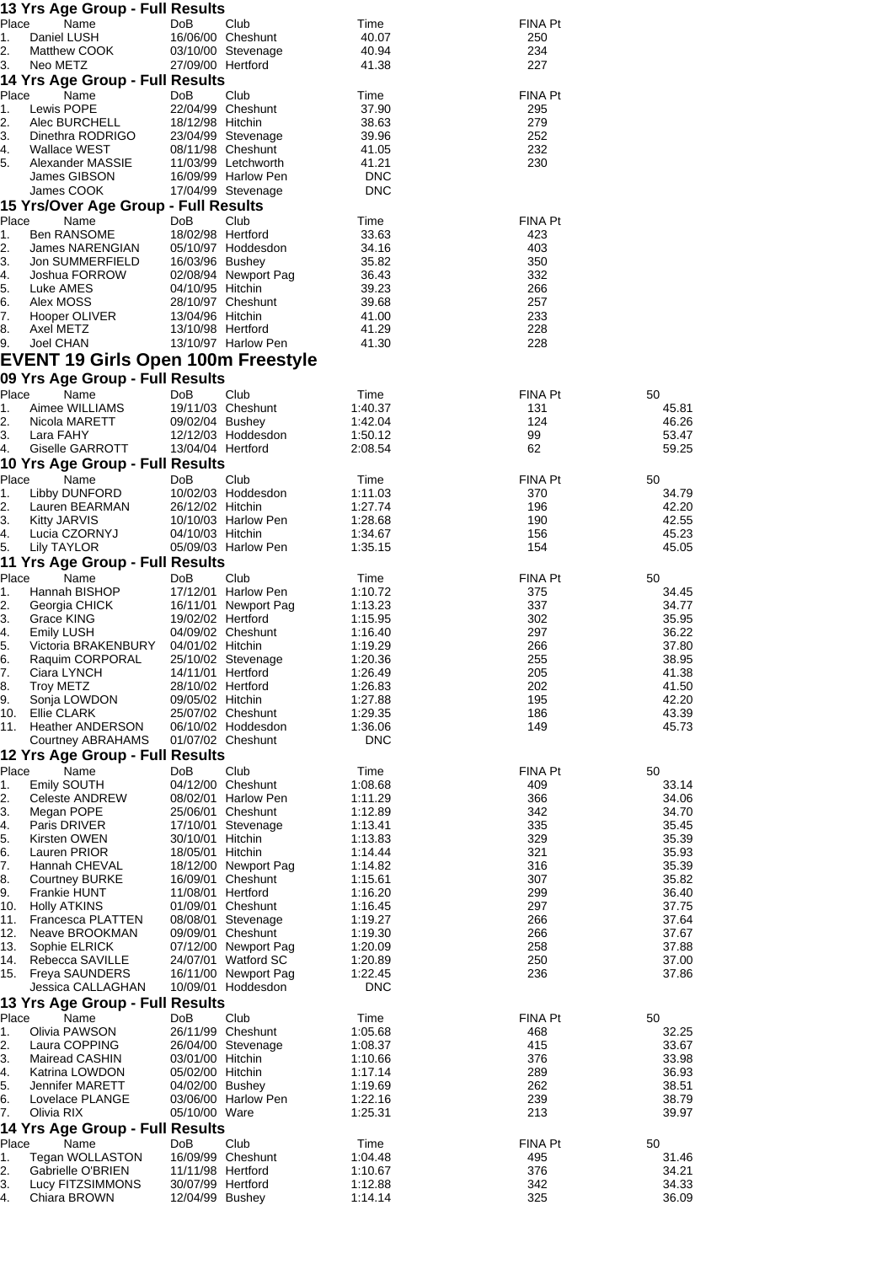|             | 13 Yrs Age Group - Full Results                         |                                      |                                            |                     |                |                |
|-------------|---------------------------------------------------------|--------------------------------------|--------------------------------------------|---------------------|----------------|----------------|
| Place       | Name                                                    | DoB                                  | Club                                       | Time                | <b>FINA Pt</b> |                |
| 1.<br>2.    | Daniel LUSH<br>Matthew COOK                             |                                      | 16/06/00 Cheshunt<br>03/10/00 Stevenage    | 40.07<br>40.94      | 250<br>234     |                |
| 3.          | Neo METZ                                                | 27/09/00 Hertford                    |                                            | 41.38               | 227            |                |
|             | 14 Yrs Age Group - Full Results                         |                                      |                                            |                     |                |                |
| Place       | Name                                                    | DoB                                  | Club                                       | Time                | <b>FINA Pt</b> |                |
| 1.<br>2.    | Lewis POPE<br>Alec BURCHELL                             | 18/12/98 Hitchin                     | 22/04/99 Cheshunt                          | 37.90<br>38.63      | 295<br>279     |                |
| 3.          | Dinethra RODRIGO                                        |                                      | 23/04/99 Stevenage                         | 39.96               | 252            |                |
| 4.          | Wallace WEST                                            |                                      | 08/11/98 Cheshunt                          | 41.05               | 232            |                |
| 5.          | Alexander MASSIE<br>James GIBSON                        |                                      | 11/03/99 Letchworth<br>16/09/99 Harlow Pen | 41.21<br><b>DNC</b> | 230            |                |
|             | James COOK                                              |                                      | 17/04/99 Stevenage                         | <b>DNC</b>          |                |                |
|             | 15 Yrs/Over Age Group - Full Results                    |                                      |                                            |                     |                |                |
| Place       | Name                                                    | DoB                                  | Club                                       | Time                | <b>FINA Pt</b> |                |
| 1.<br>2.    | <b>Ben RANSOME</b><br>James NARENGIAN                   | 18/02/98 Hertford                    | 05/10/97 Hoddesdon                         | 33.63<br>34.16      | 423<br>403     |                |
| 3.          | Jon SUMMERFIELD                                         | 16/03/96 Bushey                      |                                            | 35.82               | 350            |                |
| 4.          | Joshua FORROW                                           |                                      | 02/08/94 Newport Pag                       | 36.43               | 332            |                |
| 5.<br>6.    | Luke AMES<br>Alex MOSS                                  | 04/10/95 Hitchin                     | 28/10/97 Cheshunt                          | 39.23<br>39.68      | 266<br>257     |                |
| 7.          | Hooper OLIVER                                           | 13/04/96 Hitchin                     |                                            | 41.00               | 233            |                |
| 8.          | Axel METZ                                               | 13/10/98 Hertford                    |                                            | 41.29               | 228            |                |
| 9.          | Joel CHAN                                               |                                      | 13/10/97 Harlow Pen                        | 41.30               | 228            |                |
|             | <b>EVENT 19 Girls Open 100m Freestyle</b>               |                                      |                                            |                     |                |                |
| Place       | 09 Yrs Age Group - Full Results                         |                                      | Club                                       | Time                | FINA Pt        |                |
| 1.          | Name<br>Aimee WILLIAMS                                  | DoB                                  | 19/11/03 Cheshunt                          | 1:40.37             | 131            | 50<br>45.81    |
| 2.          | Nicola MARETT                                           | 09/02/04 Bushey                      |                                            | 1:42.04             | 124            | 46.26          |
| 3.          | Lara FAHY                                               |                                      | 12/12/03 Hoddesdon                         | 1:50.12             | 99             | 53.47          |
| 4.          | Giselle GARROTT<br>10 Yrs Age Group - Full Results      | 13/04/04 Hertford                    |                                            | 2:08.54             | 62             | 59.25          |
| Place       | Name                                                    | DoB                                  | Club                                       | Time                | FINA Pt        | 50             |
| 1.          | Libby DUNFORD                                           |                                      | 10/02/03 Hoddesdon                         | 1:11.03             | 370            | 34.79          |
| 2.          | Lauren BEARMAN                                          | 26/12/02 Hitchin                     |                                            | 1:27.74             | 196            | 42.20          |
| 3.<br>4.    | <b>Kitty JARVIS</b><br>Lucia CZORNYJ                    | 04/10/03 Hitchin                     | 10/10/03 Harlow Pen                        | 1:28.68<br>1:34.67  | 190<br>156     | 42.55<br>45.23 |
| 5.          | Lily TAYLOR                                             |                                      | 05/09/03 Harlow Pen                        | 1:35.15             | 154            | 45.05          |
|             | 11 Yrs Age Group - Full Results                         |                                      |                                            |                     |                |                |
| Place<br>1. | Name<br>Hannah BISHOP                                   | DoB                                  | Club<br>17/12/01 Harlow Pen                | Time                | FINA Pt<br>375 | 50<br>34.45    |
| 2.          | Georgia CHICK                                           |                                      | 16/11/01 Newport Pag                       | 1:10.72<br>1:13.23  | 337            | 34.77          |
| 3.          | Grace KING                                              | 19/02/02 Hertford                    |                                            | 1:15.95             | 302            | 35.95          |
| 4.          | <b>Emily LUSH</b>                                       |                                      | 04/09/02 Cheshunt                          | 1:16.40             | 297            | 36.22          |
| 5.<br>6.    | Victoria BRAKENBURY 04/01/02 Hitchin<br>Raquim CORPORAL |                                      | 25/10/02 Stevenage                         | 1:19.29<br>1:20.36  | 266<br>255     | 37.80<br>38.95 |
| 7.          | Ciara LYNCH                                             | 14/11/01 Hertford                    |                                            | 1:26.49             | 205            | 41.38          |
| 8.          | Troy METZ                                               | 28/10/02 Hertford                    |                                            | 1:26.83             | 202            | 41.50          |
| 9.          | Sonja LOWDON<br>10. Ellie CLARK                         | 09/05/02 Hitchin                     | 25/07/02 Cheshunt                          | 1:27.88<br>1:29.35  | 195<br>186     | 42.20<br>43.39 |
|             | 11. Heather ANDERSON                                    |                                      | 06/10/02 Hoddesdon                         | 1:36.06             | 149            | 45.73          |
|             | Courtney ABRAHAMS                                       |                                      | 01/07/02 Cheshunt                          | <b>DNC</b>          |                |                |
| Place       | 12 Yrs Age Group - Full Results                         |                                      | Club                                       |                     |                |                |
| 1.          | Name<br>Emily SOUTH                                     | DoB                                  | 04/12/00 Cheshunt                          | Time<br>1:08.68     | FINA Pt<br>409 | 50<br>33.14    |
| 2.          | <b>Celeste ANDREW</b>                                   |                                      | 08/02/01 Harlow Pen                        | 1:11.29             | 366            | 34.06          |
| 3.          | Megan POPE                                              |                                      | 25/06/01 Cheshunt<br>17/10/01 Stevenage    | 1:12.89             | 342            | 34.70          |
| 4.<br>5.    | Paris DRIVER<br>Kirsten OWEN                            | 30/10/01 Hitchin                     |                                            | 1:13.41<br>1:13.83  | 335<br>329     | 35.45<br>35.39 |
| 6.          | Lauren PRIOR                                            | 18/05/01 Hitchin                     |                                            | 1:14.44             | 321            | 35.93          |
| 7.          | Hannah CHEVAL                                           |                                      | 18/12/00 Newport Pag                       | 1:14.82             | 316            | 35.39          |
| 8.<br>9.    | <b>Courtney BURKE</b><br><b>Frankie HUNT</b>            | 11/08/01 Hertford                    | 16/09/01 Cheshunt                          | 1:15.61<br>1:16.20  | 307<br>299     | 35.82<br>36.40 |
| 10.         | <b>Holly ATKINS</b>                                     |                                      | 01/09/01 Cheshunt                          | 1:16.45             | 297            | 37.75          |
| 11.         | Francesca PLATTEN                                       |                                      | 08/08/01 Stevenage                         | 1:19.27             | 266            | 37.64          |
| 12.<br>13.  | Neave BROOKMAN<br>Sophie ELRICK                         |                                      | 09/09/01 Cheshunt<br>07/12/00 Newport Pag  | 1:19.30<br>1:20.09  | 266<br>258     | 37.67<br>37.88 |
|             | 14. Rebecca SAVILLE                                     |                                      | 24/07/01 Watford SC                        | 1:20.89             | 250            | 37.00          |
| 15.         | <b>Freya SAUNDERS</b>                                   |                                      | 16/11/00 Newport Pag                       | 1:22.45             | 236            | 37.86          |
|             | Jessica CALLAGHAN                                       |                                      | 10/09/01 Hoddesdon                         | <b>DNC</b>          |                |                |
| Place       | 13 Yrs Age Group - Full Results<br>Name                 | DoB                                  | Club                                       | Time                | FINA Pt        | 50             |
| 1.          | Olivia PAWSON                                           |                                      | 26/11/99 Cheshunt                          | 1:05.68             | 468            | 32.25          |
| 2.          | Laura COPPING                                           |                                      | 26/04/00 Stevenage                         | 1:08.37             | 415            | 33.67          |
| 3.<br>4.    | Mairead CASHIN<br>Katrina LOWDON                        | 03/01/00 Hitchin<br>05/02/00 Hitchin |                                            | 1:10.66<br>1:17.14  | 376<br>289     | 33.98<br>36.93 |
| 5.          | Jennifer MARETT                                         | 04/02/00 Bushey                      |                                            | 1:19.69             | 262            | 38.51          |
| 6.          | Lovelace PLANGE                                         |                                      | 03/06/00 Harlow Pen                        | 1:22.16             | 239            | 38.79          |
| 7.          | Olivia RIX                                              | 05/10/00 Ware                        |                                            | 1:25.31             | 213            | 39.97          |
| Place       | 14 Yrs Age Group - Full Results<br>Name                 | DoB                                  | Club                                       | Time                | FINA Pt        | 50             |
| 1.          | Tegan WOLLASTON                                         |                                      | 16/09/99 Cheshunt                          | 1:04.48             | 495            | 31.46          |
| 2.          | Gabrielle O'BRIEN                                       | 11/11/98 Hertford                    |                                            | 1:10.67             | 376            | 34.21          |
| 3.<br>4.    | Lucy FITZSIMMONS<br>Chiara BROWN                        | 30/07/99 Hertford<br>12/04/99 Bushey |                                            | 1:12.88<br>1:14.14  | 342<br>325     | 34.33<br>36.09 |
|             |                                                         |                                      |                                            |                     |                |                |